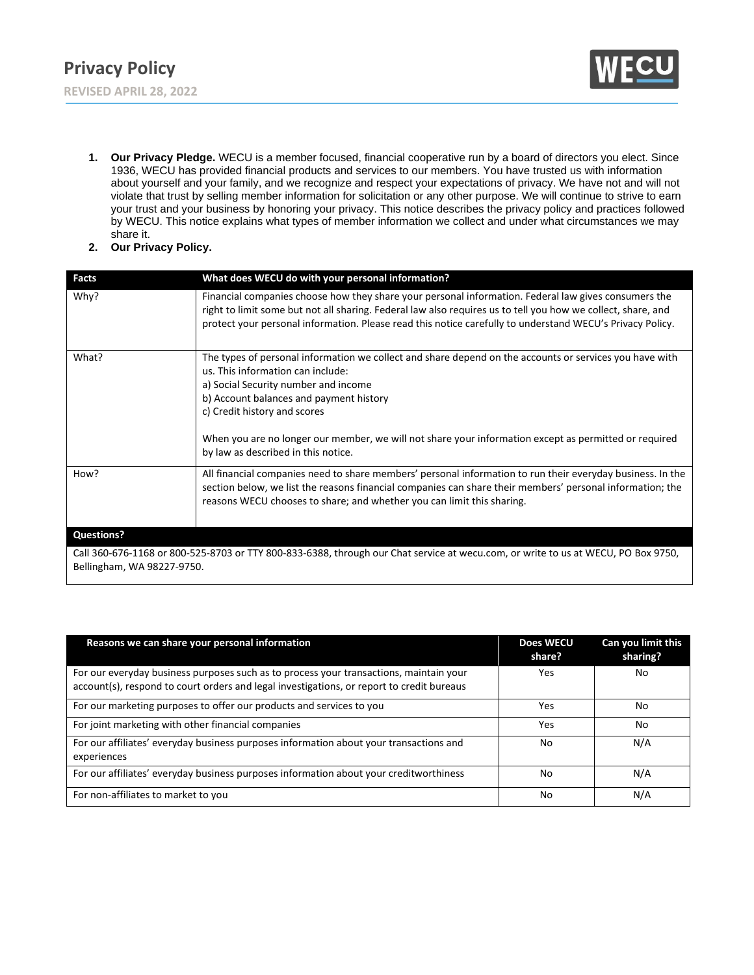

- **1. Our Privacy Pledge.** WECU is a member focused, financial cooperative run by a board of directors you elect. Since 1936, WECU has provided financial products and services to our members. You have trusted us with information about yourself and your family, and we recognize and respect your expectations of privacy. We have not and will not violate that trust by selling member information for solicitation or any other purpose. We will continue to strive to earn your trust and your business by honoring your privacy. This notice describes the privacy policy and practices followed by WECU. This notice explains what types of member information we collect and under what circumstances we may share it.
- **2. Our Privacy Policy.**

| <b>Facts</b>               | What does WECU do with your personal information?                                                                                                                                                                                                                                                                                 |
|----------------------------|-----------------------------------------------------------------------------------------------------------------------------------------------------------------------------------------------------------------------------------------------------------------------------------------------------------------------------------|
| Why?                       | Financial companies choose how they share your personal information. Federal law gives consumers the<br>right to limit some but not all sharing. Federal law also requires us to tell you how we collect, share, and<br>protect your personal information. Please read this notice carefully to understand WECU's Privacy Policy. |
| What?                      | The types of personal information we collect and share depend on the accounts or services you have with<br>us. This information can include:<br>a) Social Security number and income<br>b) Account balances and payment history<br>c) Credit history and scores                                                                   |
|                            | When you are no longer our member, we will not share your information except as permitted or required<br>by law as described in this notice.                                                                                                                                                                                      |
| How?                       | All financial companies need to share members' personal information to run their everyday business. In the<br>section below, we list the reasons financial companies can share their members' personal information; the<br>reasons WECU chooses to share; and whether you can limit this sharing.                                 |
| <b>Questions?</b>          |                                                                                                                                                                                                                                                                                                                                   |
| Bellingham, WA 98227-9750. | Call 360-676-1168 or 800-525-8703 or TTY 800-833-6388, through our Chat service at wecu.com, or write to us at WECU, PO Box 9750,                                                                                                                                                                                                 |

| Reasons we can share your personal information                                                                                                                                      | <b>Does WECU</b><br>share? | Can you limit this<br>sharing? |
|-------------------------------------------------------------------------------------------------------------------------------------------------------------------------------------|----------------------------|--------------------------------|
| For our everyday business purposes such as to process your transactions, maintain your<br>account(s), respond to court orders and legal investigations, or report to credit bureaus | Yes                        | No                             |
| For our marketing purposes to offer our products and services to you                                                                                                                | Yes                        | No                             |
| For joint marketing with other financial companies                                                                                                                                  | Yes                        | No                             |
| For our affiliates' everyday business purposes information about your transactions and<br>experiences                                                                               | No                         | N/A                            |
| For our affiliates' everyday business purposes information about your creditworthiness                                                                                              | No                         | N/A                            |
| For non-affiliates to market to you                                                                                                                                                 | No                         | N/A                            |